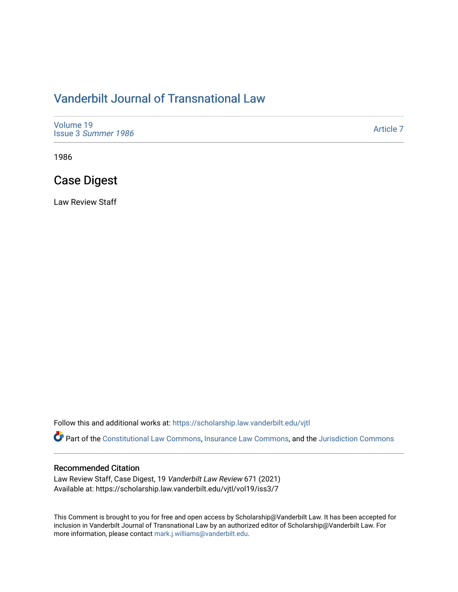# [Vanderbilt Journal of Transnational Law](https://scholarship.law.vanderbilt.edu/vjtl)

| Volume 19<br>Issue 3 Summer 1986 | Article 7 |
|----------------------------------|-----------|
|----------------------------------|-----------|

1986

# Case Digest

Law Review Staff

Follow this and additional works at: [https://scholarship.law.vanderbilt.edu/vjtl](https://scholarship.law.vanderbilt.edu/vjtl?utm_source=scholarship.law.vanderbilt.edu%2Fvjtl%2Fvol19%2Fiss3%2F7&utm_medium=PDF&utm_campaign=PDFCoverPages) 

Part of the [Constitutional Law Commons,](http://network.bepress.com/hgg/discipline/589?utm_source=scholarship.law.vanderbilt.edu%2Fvjtl%2Fvol19%2Fiss3%2F7&utm_medium=PDF&utm_campaign=PDFCoverPages) [Insurance Law Commons](http://network.bepress.com/hgg/discipline/607?utm_source=scholarship.law.vanderbilt.edu%2Fvjtl%2Fvol19%2Fiss3%2F7&utm_medium=PDF&utm_campaign=PDFCoverPages), and the Jurisdiction Commons

### Recommended Citation

Law Review Staff, Case Digest, 19 Vanderbilt Law Review 671 (2021) Available at: https://scholarship.law.vanderbilt.edu/vjtl/vol19/iss3/7

This Comment is brought to you for free and open access by Scholarship@Vanderbilt Law. It has been accepted for inclusion in Vanderbilt Journal of Transnational Law by an authorized editor of Scholarship@Vanderbilt Law. For more information, please contact [mark.j.williams@vanderbilt.edu](mailto:mark.j.williams@vanderbilt.edu).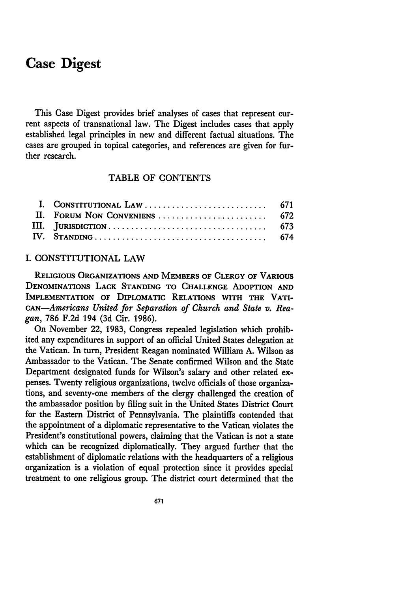## **Case Digest**

This Case Digest provides brief analyses of cases that represent current aspects of transnational law. The Digest includes cases that apply established legal principles in new and different factual situations. The cases are grouped in topical categories, and references are given for further research.

## TABLE OF **CONTENTS**

#### I. CONSTITUTIONAL LAW

**RELIGIOUS ORGANIZATIONS AND MEMBERS OF CLERGY OF VARIOUS DENOMINATIONS LACK STANDING** TO **CHALLENGE ADOPTION AND IMPLEMENTATION OF DIPLOMATIC RELATIONS WITH THE VATI-***CAN-Americans United for Separation of Church and State v. Reagan,* 786 F.2d 194 (3d Cir. 1986).

On November 22, 1983, Congress repealed legislation which prohibited any expenditures in support of an official United States delegation at the Vatican. In turn, President Reagan nominated William A. Wilson as Ambassador to the Vatican. The Senate confirmed Wilson and the State Department designated funds for Wilson's salary and other related expenses. Twenty religious organizations, twelve officials of those organizations, and seventy-one members of the clergy challenged the creation of the ambassador position by filing suit in the United States District Court for the Eastern District of Pennsylvania. The plaintiffs contended that the appointment of a diplomatic representative to the Vatican violates the President's constitutional powers, claiming that the Vatican is not a state which can be recognized diplomatically. They argued further that the establishment of diplomatic relations with the headquarters of a religious organization is a violation of equal protection since it provides special treatment to one religious group. The district court determined that the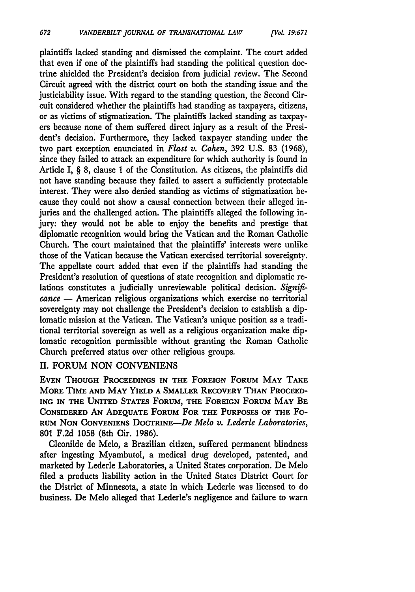plaintiffs lacked standing and dismissed the complaint. The court added that even if one of the plaintiffs had standing the political question doctrine shielded the President's decision from judicial review. The Second Circuit agreed with the district court on both the standing issue and the justiciability issue. With regard to the standing question, the Second Circuit considered whether the plaintiffs had standing as taxpayers, citizens, or as victims of stigmatization. The plaintiffs lacked standing as taxpayers because none of them suffered direct injury as a result of the President's decision. Furthermore, they lacked taxpayer standing under the two part exception enunciated in *Flast v. Cohen,* 392 U.S. 83 (1968), since they failed to attack an expenditure for which authority is found in Article I, § 8, clause 1 of the Constitution. As citizens, the plaintiffs did not have standing because they failed to assert a sufficiently protectable interest. They were also denied standing as victims of stigmatization because they could not show a causal connection between their alleged injuries and the challenged action. The plaintiffs alleged the following injury: they would not be able to enjoy the benefits and prestige that diplomatic recognition would bring the Vatican and the Roman Catholic Church. The court maintained that the plaintiffs' interests were unlike those of the Vatican because the Vatican exercised territorial sovereignty. The appellate court added that even if the plaintiffs had standing the President's resolution of questions of state recognition and diplomatic relations constitutes a judicially unreviewable political decision. *Significance* - American religious organizations which exercise no territorial sovereignty may not challenge the President's decision to establish a diplomatic mission at the Vatican. The Vatican's unique position as a traditional territorial sovereign as well as a religious organization make diplomatic recognition permissible without granting the Roman Catholic Church preferred status over other religious groups.

#### **II.** FORUM NON CONVENIENS

**EVEN THOUGH PROCEEDINGS IN** THE **FOREIGN** FORUM MAY TAKE MORE TIME **AND** MAY YIELD **A** SMALLER RECOVERY **THAN** PROCEED-ING **IN** THE UNITED STATES FORUM, THE **FOREIGN** FORUM MAY BE **CONSIDERED AN ADEQUATE** FORUM FOR THE **PURPOSES** OF THE Fo-RUM NON CONVENIENS DOCTRINE-De *Melo v. Lederle Laboratories,* 801 **F.2d 1058** (8th Cir. 1986).

Cleonilde de Melo, a Brazilian citizen, suffered permanent blindness after ingesting Myambutol, a medical drug developed, patented, and marketed by Lederle Laboratories, a United States corporation. De Melo filed a products liability action in the United States District Court for the District of Minnesota, a state in which Lederle was licensed to do business. De Melo alleged that Lederle's negligence and failure to warn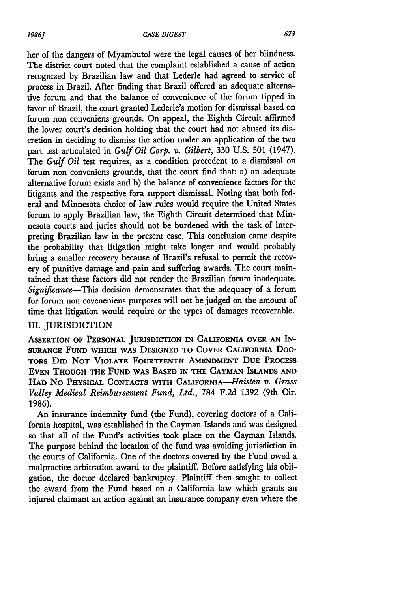her of the dangers of Myambutol were the legal causes of her blindness. The district court noted that the complaint established a cause of action recognized **by** Brazilian law and that Lederle had agreed to service of process in Brazil. After finding that Brazil offered an adequate alternative forum and that the balance of convenience of the forum tipped in favor of Brazil, the court granted Lederle's motion for dismissal based on forum non conveniens grounds. On appeal, the Eighth Circuit affirmed the lower court's decision holding that the court had not abused its discretion in deciding to dismiss the action under an application of the two part test articulated in *Gulf Oil Corp. v. Gilbert,* **330 U.S. 501** (1947). The *Gulf Oil* test requires, as a condition precedent to a dismissal on forum non conveniens grounds, that the court find that: a) an adequate alternative forum exists and **b)** the balance of convenience factors for the litigants and the respective fora support dismissal. Noting that both federal and Minnesota choice of law rules would require the United States forum to apply Brazilian law, the Eighth Circuit determined that Minnesota courts and juries should not be burdened with the task of interpreting Brazilian law in the present case. This conclusion came despite the probability that litigation might take longer and would probably bring a smaller recovery because of Brazil's refusal to permit the recovery of punitive damage and pain and suffering awards. The court maintained that these factors did not render the Brazilian forum inadequate. *Significance-This* decision demonstrates that the adequacy of a forum for forum non coveneniens purposes will not be judged on the amount of time that litigation would require or the types of damages recoverable.

## III. JURISDICTION

**ASSERTION OF PERSONAL JURISDICTION IN CALIFORNIA OVER AN IN-SURANCE FUND WHICH WAS DESIGNED TO COVER CALIFORNIA Doc-TORS DID NOT VIOLATE FOURTEENTH AMENDMENT DUE PROCESS EVEN THOUGH THE FUND WAS BASED IN THE CAYMAN ISLANDS AND HAD** No **PHYSICAL CONTACTS WITH** CALIFORNA-Haisten *v. Grass Valley Medical Reimbursement Fund, Ltd.,* 784 F.2d 1392 (9th Cir. 1986).

An insurance indemnity fund (the Fund), covering doctors of a California hospital, was established in the Cayman Islands and was designed so that all of the Fund's activities took place on the Cayman Islands. The purpose behind the location of the fund was avoiding jurisdiction in the courts of California. One of the doctors covered by the Fund owed a malpractice arbitration award to the plaintiff. Before satisfying his obligation, the doctor declared bankruptcy. Plaintiff then sought to collect the award from the Fund based on a California law which grants an injured claimant an action against an insurance company even where the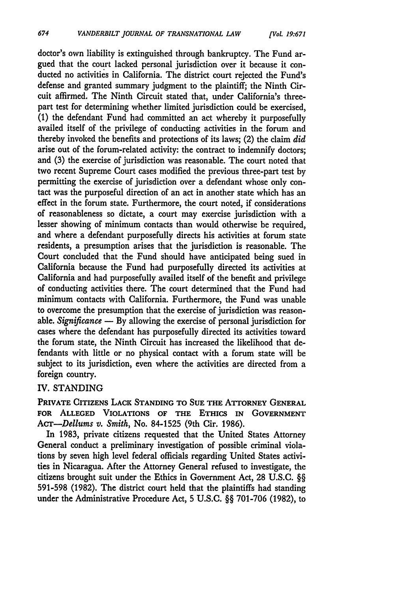doctor's own liability is extinguished through bankruptcy. The Fund argued that the court lacked personal jurisdiction over it because it conducted no activities in California. The district court rejected the Fund's defense and granted summary judgment to the plaintiff; the Ninth Circuit affirmed. The Ninth Circuit stated that, under California's threepart test for determining whether limited jurisdiction could be exercised, **(1)** the defendant Fund had committed an act whereby it purposefully availed itself of the privilege of conducting activities in the forum and thereby invoked the benefits and protections of its laws; (2) the claim *did* arise out of the forum-related activity: the contract to indemnify doctors; and **(3)** the exercise of jurisdiction was reasonable. The court noted that two recent Supreme Court cases modified the previous three-part test by permitting the exercise of jurisdiction over a defendant whose only contact was the purposeful direction of an act in another state which has an effect in the forum state. Furthermore, the court noted, if considerations of reasonableness so dictate, a court may exercise jurisdiction with a lesser showing of minimum contacts than would otherwise be required, and where a defendant purposefully directs his activities at forum state residents, a presumption arises that the jurisdiction is reasonable. The Court concluded that the Fund should have anticipated being sued in California because the Fund had purposefully directed its activities at California and had purposefully availed itself of the benefit and privilege of conducting activities there. The court determined that the Fund had minimum contacts with California. Furthermore, the Fund was unable to overcome the presumption that the exercise of jurisdiction was reasonable. *Significance* **- By** allowing the exercise of personal jurisdiction for cases where the defendant has purposefully directed its activities toward the forum state, the Ninth Circuit has increased the likelihood that defendants with little or no physical contact with a forum state will be subject to its jurisdiction, even where the activities are directed from a foreign country.

### IV. STANDING

**PRIVATE CITIZENS LACK STANDING TO SUE THE ATTORNEY GENERAL FOR ALLEGED VIOLATIONS OF THE ETHICS IN GOVERNMENT** *AcTr-Dellums v. Smith,* No. **84-1525** (9th Cir. **1986).**

In **1983,** private citizens requested that the United States Attorney General conduct a preliminary investigation of possible criminal violations **by** seven high level federal officials regarding United States activities in Nicaragua. After the Attorney General refused to investigate, the citizens brought suit under the Ethics in Government Act, **28 U.S.C.** §§ **591-598 (1982).** The district court held that the plaintiffs had standing under the Administrative Procedure Act, 5 **U.S.C.** §§ **701-706 (1982),** to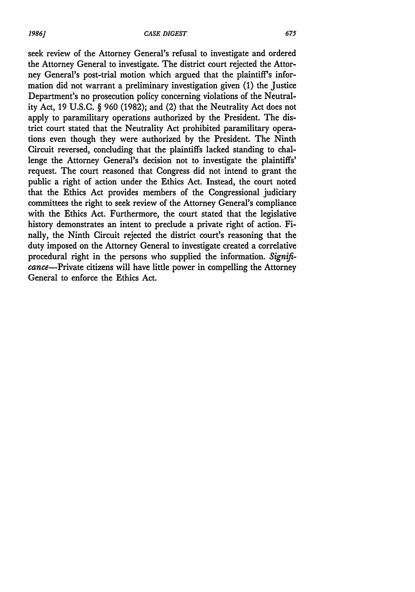seek review of the Attorney General's refusal to investigate and ordered the Attorney General to investigate. The district court rejected the Attorney General's post-trial motion which argued that the plaintiff's information did not warrant a preliminary investigation given (1) the Justice Department's no prosecution policy concerning violations of the Neutrality Act, 19 U.S.C. § 960 (1982); and (2) that the Neutrality Act does not apply to paramilitary operations authorized by the President. The district court stated that the Neutrality Act prohibited paramilitary operations even though they were authorized by the President. The Ninth Circuit reversed, concluding that the plaintiffs lacked standing to challenge the Attorney General's decision not to investigate the plaintiffs' request. The court reasoned that Congress did not intend to grant the public a right of action under the Ethics Act. Instead, the court noted that the Ethics Act provides members of the Congressional judiciary committees the right to seek review of the Attorney General's compliance with the Ethics Act. Furthermore, the court stated that the legislative history demonstrates an intent to preclude a private right of action. Finally, the Ninth Circuit rejected the district court's reasoning that the duty imposed on the Attorney General to investigate created a correlative procedural right in the persons who supplied the information. *Signifi*cance-Private citizens will have little power in compelling the Attorney General to enforce the Ethics Act.